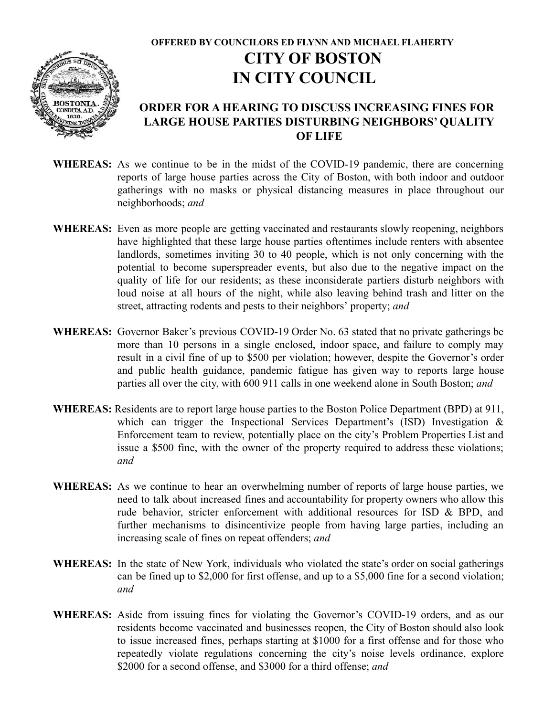

## **OFFERED BY COUNCILORS ED FLYNN AND MICHAEL FLAHERTY CITY OF BOSTON IN CITY COUNCIL**

## **ORDER FOR A HEARING TO DISCUSS INCREASING FINES FOR LARGE HOUSE PARTIES DISTURBING NEIGHBORS' QUALITY OF LIFE**

- **WHEREAS:** As we continue to be in the midst of the COVID-19 pandemic, there are concerning reports of large house parties across the City of Boston, with both indoor and outdoor gatherings with no masks or physical distancing measures in place throughout our neighborhoods; *and*
- **WHEREAS:** Even as more people are getting vaccinated and restaurants slowly reopening, neighbors have highlighted that these large house parties oftentimes include renters with absentee landlords, sometimes inviting 30 to 40 people, which is not only concerning with the potential to become superspreader events, but also due to the negative impact on the quality of life for our residents; as these inconsiderate partiers disturb neighbors with loud noise at all hours of the night, while also leaving behind trash and litter on the street, attracting rodents and pests to their neighbors' property; *and*
- **WHEREAS:** Governor Baker's previous COVID-19 Order No. 63 stated that no private gatherings be more than 10 persons in a single enclosed, indoor space, and failure to comply may result in a civil fine of up to \$500 per violation; however, despite the Governor's order and public health guidance, pandemic fatigue has given way to reports large house parties all over the city, with 600 911 calls in one weekend alone in South Boston; *and*
- **WHEREAS:** Residents are to report large house parties to the Boston Police Department (BPD) at 911, which can trigger the Inspectional Services Department's (ISD) Investigation & Enforcement team to review, potentially place on the city's Problem Properties List and issue a \$500 fine, with the owner of the property required to address these violations; *and*
- **WHEREAS:** As we continue to hear an overwhelming number of reports of large house parties, we need to talk about increased fines and accountability for property owners who allow this rude behavior, stricter enforcement with additional resources for ISD & BPD, and further mechanisms to disincentivize people from having large parties, including an increasing scale of fines on repeat offenders; *and*
- **WHEREAS:** In the state of New York, individuals who violated the state's order on social gatherings can be fined up to \$2,000 for first offense, and up to a \$5,000 fine for a second violation; *and*
- **WHEREAS:** Aside from issuing fines for violating the Governor's COVID-19 orders, and as our residents become vaccinated and businesses reopen, the City of Boston should also look to issue increased fines, perhaps starting at \$1000 for a first offense and for those who repeatedly violate regulations concerning the city's noise levels ordinance, explore \$2000 for a second offense, and \$3000 for a third offense; *and*